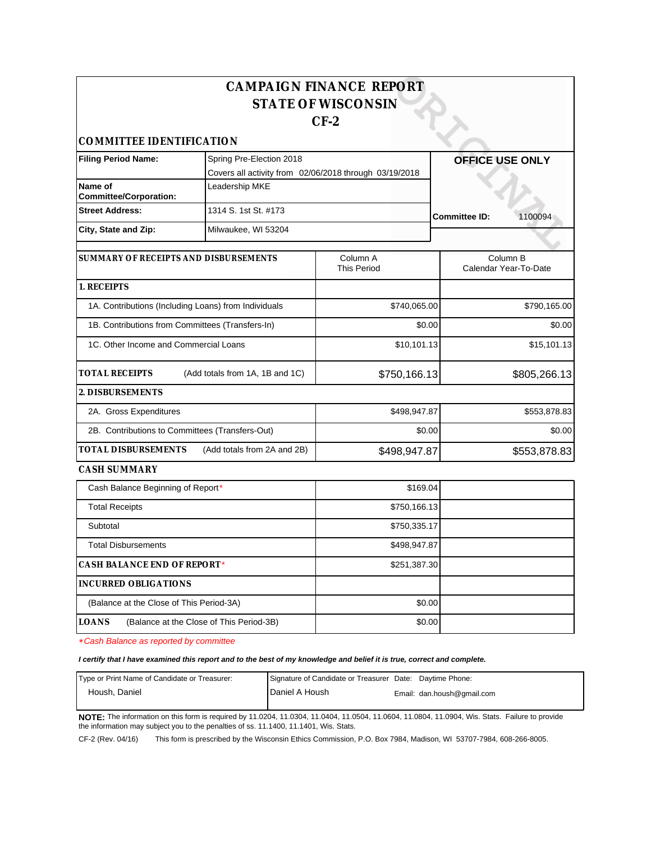|                                                  |                                                        | <b>CAMPAIGN FINANCE REPORT</b> |                                   |
|--------------------------------------------------|--------------------------------------------------------|--------------------------------|-----------------------------------|
|                                                  |                                                        | <b>STATE OF WISCONSIN</b>      |                                   |
|                                                  |                                                        | $CF-2$                         |                                   |
| COMMITTEE IDENTIFICATION                         |                                                        |                                |                                   |
| <b>Filing Period Name:</b>                       | Spring Pre-Election 2018                               |                                | <b>OFFICE USE ONLY</b>            |
|                                                  | Covers all activity from 02/06/2018 through 03/19/2018 |                                |                                   |
| Name of<br><b>Committee/Corporation:</b>         | Leadership MKE                                         |                                |                                   |
| <b>Street Address:</b>                           | 1314 S. 1st St. #173                                   |                                | 1100094<br><b>Committee ID:</b>   |
| City, State and Zip:                             | Milwaukee, WI 53204                                    |                                |                                   |
| SUMMARY OF RECEIPTS AND DISBURSEMENTS            |                                                        | Column A<br><b>This Period</b> | Column B<br>Calendar Year-To-Date |
| 1. RECEIPTS                                      |                                                        |                                |                                   |
|                                                  | 1A. Contributions (Including Loans) from Individuals   | \$740,065.00                   | \$790,165.00                      |
| 1B. Contributions from Committees (Transfers-In) |                                                        | \$0.00                         | \$0.00                            |
| 1C. Other Income and Commercial Loans            |                                                        | \$10,101.13                    | \$15,101.13                       |
| <b>TOTAL RECEIPTS</b>                            | (Add totals from 1A, 1B and 1C)                        | \$750,166.13                   | \$805,266.13                      |
| 2. DISBURSEMENTS                                 |                                                        |                                |                                   |
| 2A. Gross Expenditures                           |                                                        | \$498,947.87                   | \$553,878.83                      |
| 2B. Contributions to Committees (Transfers-Out)  |                                                        | \$0.00                         | \$0.00                            |
| TOTAL DISBURSEMENTS                              | (Add totals from 2A and 2B)                            | \$498,947.87                   | \$553,878.83                      |
| CASH SUMMARY                                     |                                                        |                                |                                   |
| Cash Balance Beginning of Report*                |                                                        | \$169.04                       |                                   |
| <b>Total Receipts</b>                            |                                                        | \$750,166.13                   |                                   |
| Subtotal                                         |                                                        | \$750,335.17                   |                                   |
| <b>Total Disbursements</b>                       |                                                        | \$498,947.87                   |                                   |
| CASH BALANCE END OF REPORT*                      |                                                        | \$251,387.30                   |                                   |
| <b>INCURRED OBLIGATIONS</b>                      |                                                        |                                |                                   |
| (Balance at the Close of This Period-3A)         |                                                        | \$0.00                         |                                   |
| <b>LOANS</b>                                     | (Balance at the Close of This Period-3B)               | \$0.00                         |                                   |

\*Cash Balance as reported by committee

**I certify that I have examined this report and to the best of my knowledge and belief it is true, correct and complete.**

| Type or Print Name of Candidate or Treasurer: | Signature of Candidate or Treasurer Date: Daytime Phone: |                            |
|-----------------------------------------------|----------------------------------------------------------|----------------------------|
| Housh, Daniel                                 | Daniel A Housh                                           | Email: dan.housh@gmail.com |

**NOTE:** The information on this form is required by 11.0204, 11.0304, 11.0404, 11.0504, 11.0604, 11.0804, 11.0904, Wis. Stats. Failure to provide the information may subject you to the penalties of ss. 11.1400, 11.1401, Wis. Stats.

CF-2 (Rev. 04/16) This form is prescribed by the Wisconsin Ethics Commission, P.O. Box 7984, Madison, WI 53707-7984, 608-266-8005.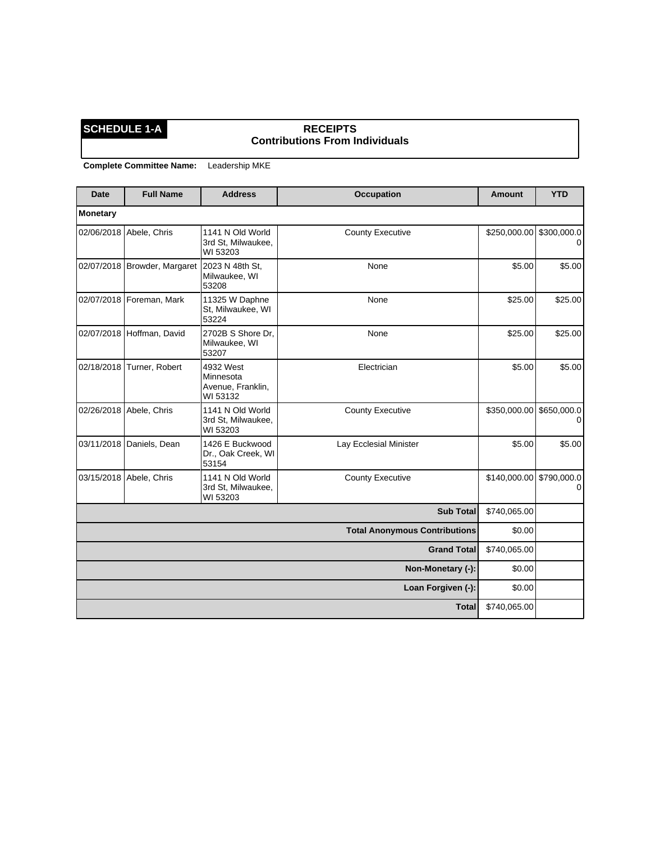### **SCHEDULE 1-A RECEIPTS Contributions From Individuals**

| <b>Date</b> | <b>Full Name</b>             | <b>Address</b>                                          | <b>Occupation</b>                    | <b>Amount</b>            | <b>YTD</b> |
|-------------|------------------------------|---------------------------------------------------------|--------------------------------------|--------------------------|------------|
| Monetary    |                              |                                                         |                                      |                          |            |
| 02/06/2018  | Abele, Chris                 | 1141 N Old World<br>3rd St, Milwaukee,<br>WI 53203      | <b>County Executive</b>              | \$250,000.00 \$300,000.0 | $\Omega$   |
|             | 02/07/2018 Browder, Margaret | 2023 N 48th St,<br>Milwaukee, WI<br>53208               | None                                 | \$5.00                   | \$5.00     |
|             | 02/07/2018   Foreman, Mark   | 11325 W Daphne<br>St, Milwaukee, WI<br>53224            | None                                 | \$25.00                  | \$25.00    |
|             | 02/07/2018 Hoffman, David    | 2702B S Shore Dr.<br>Milwaukee, WI<br>53207             | None                                 | \$25.00                  | \$25.00    |
| 02/18/2018  | Turner, Robert               | 4932 West<br>Minnesota<br>Avenue, Franklin,<br>WI 53132 | Electrician                          | \$5.00                   | \$5.00     |
|             | 02/26/2018 Abele, Chris      | 1141 N Old World<br>3rd St, Milwaukee,<br>WI 53203      | <b>County Executive</b>              | \$350,000.00 \$650,000.0 | 0          |
|             | 03/11/2018 Daniels, Dean     | 1426 E Buckwood<br>Dr., Oak Creek, WI<br>53154          | Lay Ecclesial Minister               | \$5.00                   | \$5.00     |
|             | 03/15/2018 Abele, Chris      | 1141 N Old World<br>3rd St, Milwaukee,<br>WI 53203      | <b>County Executive</b>              | \$140,000.00 \$790,000.0 | 0          |
|             |                              |                                                         | <b>Sub Total</b>                     | \$740,065.00             |            |
|             |                              |                                                         | <b>Total Anonymous Contributions</b> | \$0.00                   |            |
|             |                              |                                                         | <b>Grand Total</b>                   | \$740,065.00             |            |
|             |                              |                                                         | Non-Monetary (-):                    | \$0.00                   |            |
|             |                              |                                                         | Loan Forgiven (-):                   | \$0.00                   |            |
|             |                              |                                                         | <b>Total</b>                         | \$740,065.00             |            |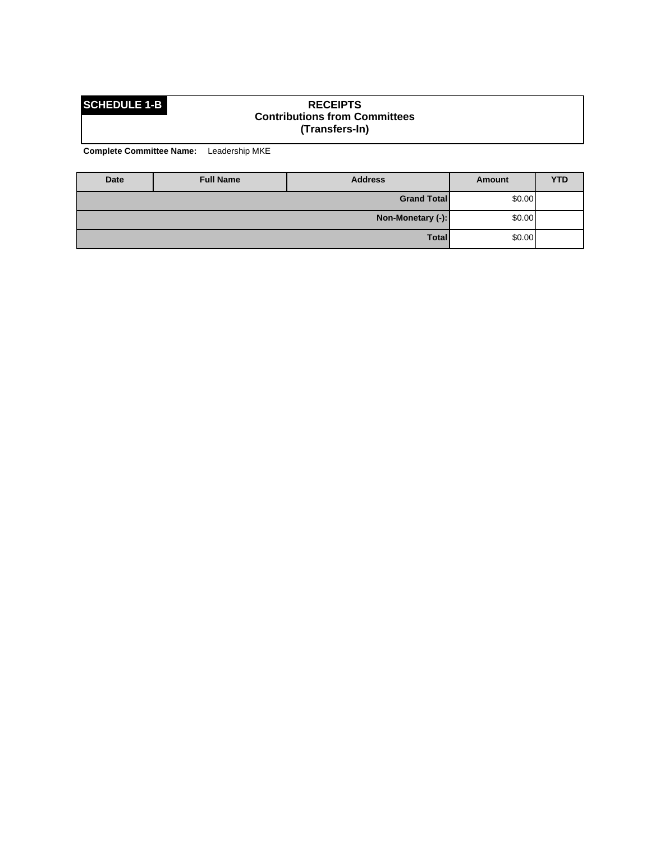### **SCHEDULE 1-B RECEIPTS Contributions from Committees (Transfers-In)**

| Date | <b>Full Name</b> | <b>Address</b>     | Amount | <b>YTD</b> |
|------|------------------|--------------------|--------|------------|
|      |                  | <b>Grand Total</b> | \$0.00 |            |
|      |                  | Non-Monetary (-):  | \$0.00 |            |
|      |                  | Total              | \$0.00 |            |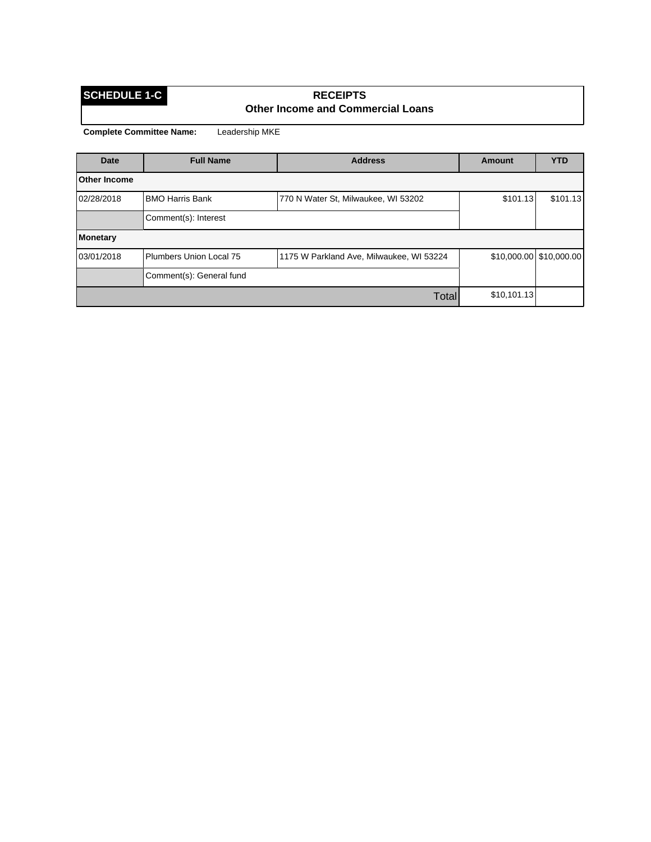### **SCHEDULE 1-C RECEIPTS Other Income and Commercial Loans**

| <b>Date</b>         | <b>Full Name</b>         | <b>Address</b>                           | <b>Amount</b> | <b>YTD</b>              |
|---------------------|--------------------------|------------------------------------------|---------------|-------------------------|
| <b>Other Income</b> |                          |                                          |               |                         |
| 02/28/2018          | <b>BMO Harris Bank</b>   | 770 N Water St, Milwaukee, WI 53202      | \$101.13      | \$101.13                |
|                     | Comment(s): Interest     |                                          |               |                         |
| <b>Monetary</b>     |                          |                                          |               |                         |
| 03/01/2018          | Plumbers Union Local 75  | 1175 W Parkland Ave, Milwaukee, WI 53224 |               | \$10,000.00 \$10,000.00 |
|                     | Comment(s): General fund |                                          |               |                         |
|                     |                          | Total                                    | \$10,101.13   |                         |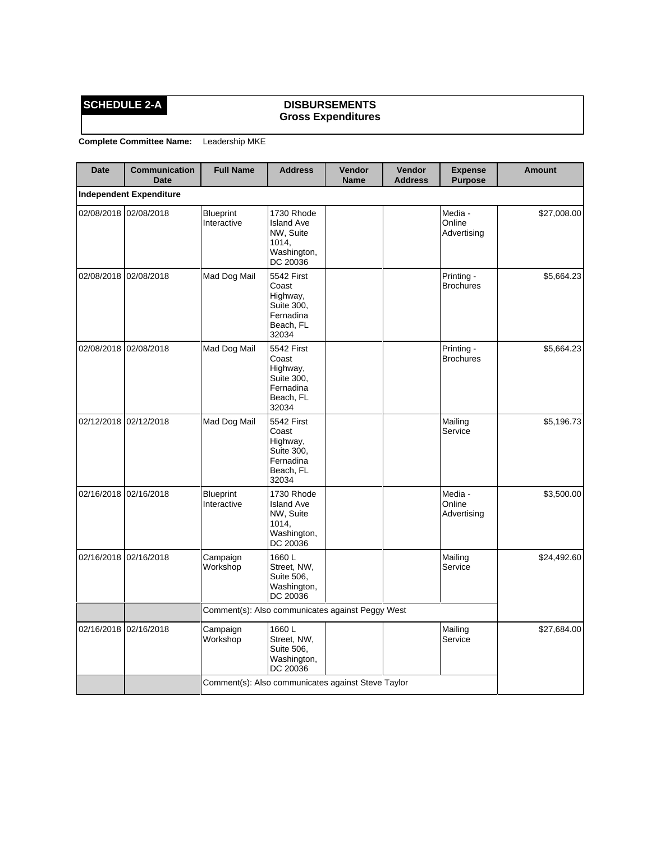### **SCHEDULE 2-A DISBURSEMENTS Gross Expenditures**

| <b>Date</b> | <b>Communication</b><br><b>Date</b> | <b>Full Name</b>                                   | <b>Address</b>                                                                          | Vendor<br><b>Name</b> | Vendor<br><b>Address</b> | <b>Expense</b><br><b>Purpose</b> | <b>Amount</b> |
|-------------|-------------------------------------|----------------------------------------------------|-----------------------------------------------------------------------------------------|-----------------------|--------------------------|----------------------------------|---------------|
|             | <b>Independent Expenditure</b>      |                                                    |                                                                                         |                       |                          |                                  |               |
|             | 02/08/2018 02/08/2018               | <b>Blueprint</b><br>Interactive                    | 1730 Rhode<br><b>Island Ave</b><br>NW, Suite<br>1014,<br>Washington,<br>DC 20036        |                       |                          | Media -<br>Online<br>Advertising | \$27,008.00   |
| 02/08/2018  | 02/08/2018                          | Mad Dog Mail                                       | 5542 First<br>Coast<br>Highway,<br>Suite 300.<br>Fernadina<br>Beach, FL<br>32034        |                       |                          | Printing -<br><b>Brochures</b>   | \$5,664.23    |
| 02/08/2018  | 02/08/2018                          | Mad Dog Mail                                       | <b>5542 First</b><br>Coast<br>Highway,<br>Suite 300,<br>Fernadina<br>Beach, FL<br>32034 |                       |                          | Printing -<br><b>Brochures</b>   | \$5,664.23    |
| 02/12/2018  | 02/12/2018                          | Mad Dog Mail                                       | 5542 First<br>Coast<br>Highway,<br>Suite 300,<br>Fernadina<br>Beach, FL<br>32034        |                       |                          | Mailing<br>Service               | \$5,196.73    |
|             | 02/16/2018 02/16/2018               | <b>Blueprint</b><br>Interactive                    | 1730 Rhode<br><b>Island Ave</b><br>NW, Suite<br>1014,<br>Washington,<br>DC 20036        |                       |                          | Media -<br>Online<br>Advertising | \$3,500.00    |
| 02/16/2018  | 02/16/2018                          | Campaign<br>Workshop                               | 1660L<br>Street, NW,<br>Suite 506,<br>Washington,<br>DC 20036                           |                       |                          | Mailing<br>Service               | \$24,492.60   |
|             |                                     | Comment(s): Also communicates against Peggy West   |                                                                                         |                       |                          |                                  |               |
|             | 02/16/2018 02/16/2018               | Campaign<br>Workshop                               | 1660L<br>Street, NW,<br>Suite 506,<br>Washington,<br>DC 20036                           |                       |                          | Mailing<br>Service               | \$27,684.00   |
|             |                                     | Comment(s): Also communicates against Steve Taylor |                                                                                         |                       |                          |                                  |               |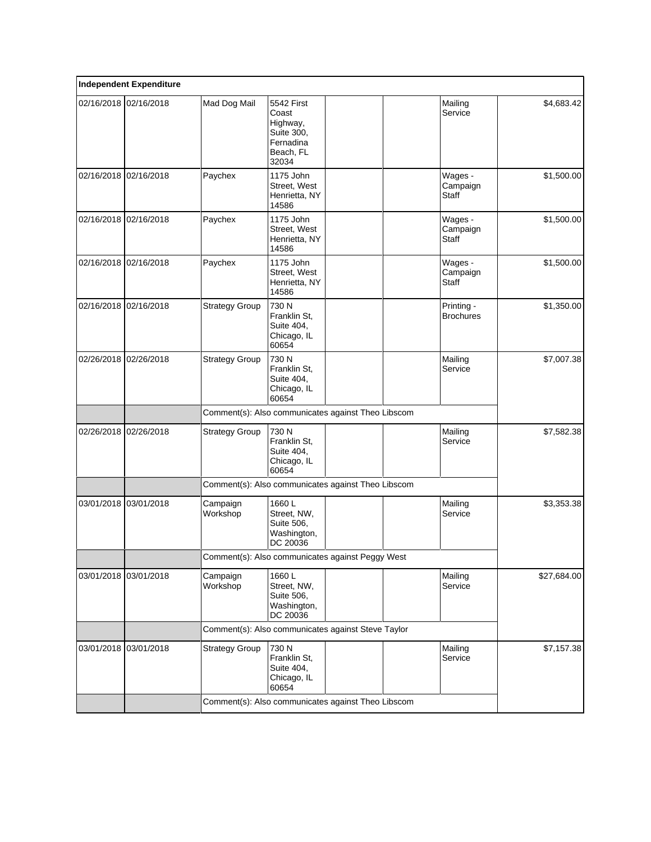| <b>Independent Expenditure</b> |                                                    |                                                                                         |  |                                     |             |
|--------------------------------|----------------------------------------------------|-----------------------------------------------------------------------------------------|--|-------------------------------------|-------------|
| 02/16/2018 02/16/2018          | Mad Dog Mail                                       | <b>5542 First</b><br>Coast<br>Highway,<br>Suite 300,<br>Fernadina<br>Beach, FL<br>32034 |  | Mailing<br>Service                  | \$4,683.42  |
| 02/16/2018 02/16/2018          | Paychex                                            | 1175 John<br>Street, West<br>Henrietta, NY<br>14586                                     |  | Wages -<br>Campaign<br>Staff        | \$1,500.00  |
| 02/16/2018 02/16/2018          | Paychex                                            | 1175 John<br>Street, West<br>Henrietta, NY<br>14586                                     |  | Wages -<br>Campaign<br>Staff        | \$1,500.00  |
| 02/16/2018 02/16/2018          | Paychex                                            | 1175 John<br>Street, West<br>Henrietta, NY<br>14586                                     |  | Wages -<br>Campaign<br><b>Staff</b> | \$1,500.00  |
| 02/16/2018 02/16/2018          | <b>Strategy Group</b>                              | 730 N<br>Franklin St.<br>Suite 404,<br>Chicago, IL<br>60654                             |  | Printing -<br><b>Brochures</b>      | \$1,350.00  |
| 02/26/2018 02/26/2018          | <b>Strategy Group</b>                              | 730 N<br>Franklin St,<br>Suite 404,<br>Chicago, IL<br>60654                             |  | Mailing<br>Service                  | \$7,007.38  |
|                                | Comment(s): Also communicates against Theo Libscom |                                                                                         |  |                                     |             |
| 02/26/2018 02/26/2018          | <b>Strategy Group</b>                              | 730 N<br>Franklin St,<br>Suite 404,<br>Chicago, IL<br>60654                             |  | Mailing<br>Service                  | \$7,582.38  |
|                                | Comment(s): Also communicates against Theo Libscom |                                                                                         |  |                                     |             |
| 03/01/2018 03/01/2018          | Campaign<br>Workshop                               | 1660L<br>Street, NW,<br>Suite 506,<br>Washington,<br>DC 20036                           |  | Mailing<br>Service                  | \$3,353.38  |
|                                | Comment(s): Also communicates against Peggy West   |                                                                                         |  |                                     |             |
| 03/01/2018 03/01/2018          | Campaign<br>Workshop                               | 1660L<br>Street, NW,<br>Suite 506,<br>Washington,<br>DC 20036                           |  | Mailing<br>Service                  | \$27,684.00 |
|                                | Comment(s): Also communicates against Steve Taylor |                                                                                         |  |                                     |             |
| 03/01/2018 03/01/2018          | <b>Strategy Group</b>                              | 730 N<br>Franklin St,<br>Suite 404,<br>Chicago, IL<br>60654                             |  | Mailing<br>Service                  | \$7,157.38  |
|                                | Comment(s): Also communicates against Theo Libscom |                                                                                         |  |                                     |             |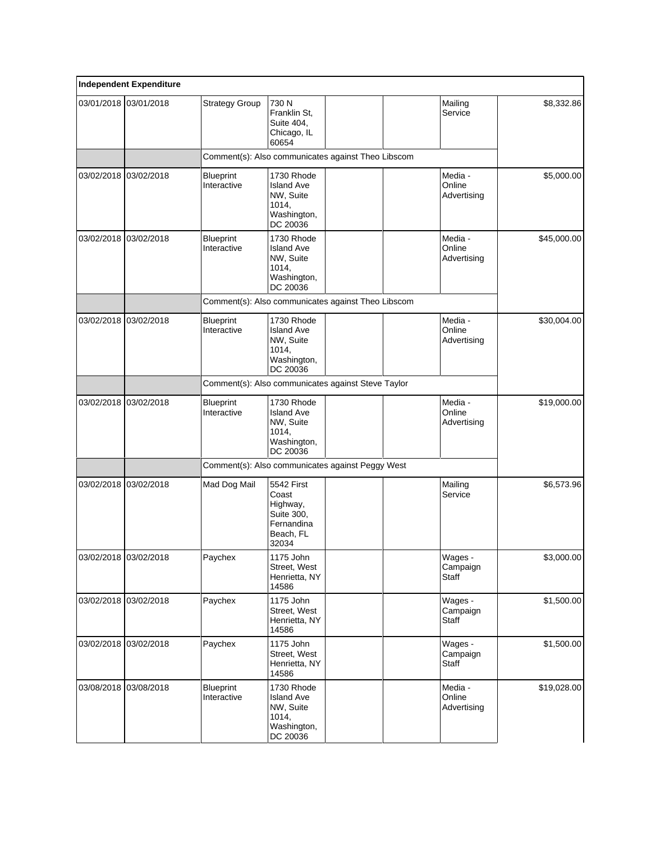|            | <b>Independent Expenditure</b> |                                                    |                                                                                   |  |                                  |             |
|------------|--------------------------------|----------------------------------------------------|-----------------------------------------------------------------------------------|--|----------------------------------|-------------|
|            | 03/01/2018 03/01/2018          | <b>Strategy Group</b>                              | 730 N<br>Franklin St.<br>Suite 404,<br>Chicago, IL<br>60654                       |  | Mailing<br>Service               | \$8,332.86  |
|            |                                | Comment(s): Also communicates against Theo Libscom |                                                                                   |  |                                  |             |
|            | 03/02/2018 03/02/2018          | <b>Blueprint</b><br>Interactive                    | 1730 Rhode<br><b>Island Ave</b><br>NW, Suite<br>1014,<br>Washington,<br>DC 20036  |  | Media -<br>Online<br>Advertising | \$5,000.00  |
| 03/02/2018 | 03/02/2018                     | <b>Blueprint</b><br>Interactive                    | 1730 Rhode<br><b>Island Ave</b><br>NW, Suite<br>1014,<br>Washington,<br>DC 20036  |  | Media -<br>Online<br>Advertising | \$45,000.00 |
|            |                                | Comment(s): Also communicates against Theo Libscom |                                                                                   |  |                                  |             |
| 03/02/2018 | 03/02/2018                     | <b>Blueprint</b><br>Interactive                    | 1730 Rhode<br><b>Island Ave</b><br>NW, Suite<br>1014,<br>Washington,<br>DC 20036  |  | Media -<br>Online<br>Advertising | \$30,004.00 |
|            |                                | Comment(s): Also communicates against Steve Taylor |                                                                                   |  |                                  |             |
| 03/02/2018 | 03/02/2018                     | <b>Blueprint</b><br>Interactive                    | 1730 Rhode<br><b>Island Ave</b><br>NW, Suite<br>1014,<br>Washington,<br>DC 20036  |  | Media -<br>Online<br>Advertising | \$19,000.00 |
|            |                                | Comment(s): Also communicates against Peggy West   |                                                                                   |  |                                  |             |
| 03/02/2018 | 03/02/2018                     | Mad Dog Mail                                       | 5542 First<br>Coast<br>Highway,<br>Suite 300.<br>Fernandina<br>Beach, FL<br>32034 |  | Mailing<br>Service               | \$6,573.96  |
|            | 03/02/2018 03/02/2018          | Paychex                                            | 1175 John<br>Street, West<br>Henrietta, NY<br>14586                               |  | Wages -<br>Campaign<br>Staff     | \$3,000.00  |
| 03/02/2018 | 03/02/2018                     | Paychex                                            | 1175 John<br>Street, West<br>Henrietta, NY<br>14586                               |  | Wages -<br>Campaign<br>Staff     | \$1,500.00  |
| 03/02/2018 | 03/02/2018                     | Paychex                                            | 1175 John<br>Street, West<br>Henrietta, NY<br>14586                               |  | Wages -<br>Campaign<br>Staff     | \$1,500.00  |
| 03/08/2018 | 03/08/2018                     | Blueprint<br>Interactive                           | 1730 Rhode<br><b>Island Ave</b><br>NW, Suite<br>1014,<br>Washington,<br>DC 20036  |  | Media -<br>Online<br>Advertising | \$19,028.00 |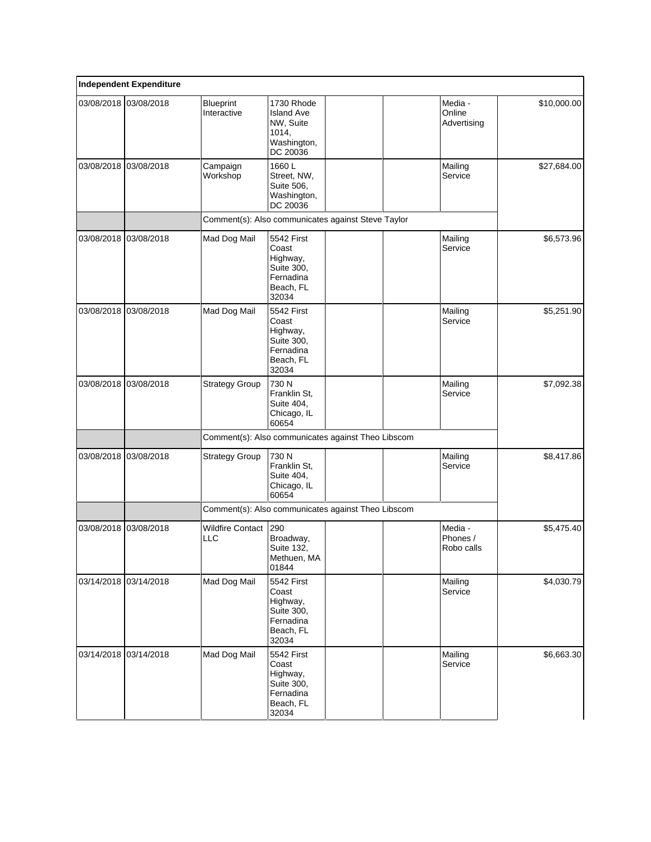|            | <b>Independent Expenditure</b> |                                                    |                                                                                  |  |                                   |             |
|------------|--------------------------------|----------------------------------------------------|----------------------------------------------------------------------------------|--|-----------------------------------|-------------|
|            | 03/08/2018 03/08/2018          | <b>Blueprint</b><br>Interactive                    | 1730 Rhode<br><b>Island Ave</b><br>NW, Suite<br>1014,<br>Washington,<br>DC 20036 |  | Media -<br>Online<br>Advertising  | \$10,000.00 |
| 03/08/2018 | 03/08/2018                     | Campaign<br>Workshop                               | 1660L<br>Street, NW,<br>Suite 506,<br>Washington,<br>DC 20036                    |  | Mailing<br>Service                | \$27,684.00 |
|            |                                | Comment(s): Also communicates against Steve Taylor |                                                                                  |  |                                   |             |
|            | 03/08/2018 03/08/2018          | Mad Dog Mail                                       | 5542 First<br>Coast<br>Highway,<br>Suite 300,<br>Fernadina<br>Beach, FL<br>32034 |  | Mailing<br>Service                | \$6,573.96  |
| 03/08/2018 | 03/08/2018                     | Mad Dog Mail                                       | 5542 First<br>Coast<br>Highway,<br>Suite 300,<br>Fernadina<br>Beach, FL<br>32034 |  | Mailing<br>Service                | \$5,251.90  |
| 03/08/2018 | 03/08/2018                     | <b>Strategy Group</b>                              | 730 N<br>Franklin St,<br>Suite 404,<br>Chicago, IL<br>60654                      |  | Mailing<br>Service                | \$7,092.38  |
|            |                                | Comment(s): Also communicates against Theo Libscom |                                                                                  |  |                                   |             |
| 03/08/2018 | 03/08/2018                     | <b>Strategy Group</b>                              | 730 N<br>Franklin St,<br>Suite 404,<br>Chicago, IL<br>60654                      |  | Mailing<br>Service                | \$8,417.86  |
|            |                                | Comment(s): Also communicates against Theo Libscom |                                                                                  |  |                                   |             |
| 03/08/2018 | 03/08/2018                     | <b>Wildfire Contact</b><br><b>LLC</b>              | 290<br>Broadway,<br>Suite 132,<br>Methuen, MA<br>01844                           |  | Media -<br>Phones /<br>Robo calls | \$5,475.40  |
| 03/14/2018 | 03/14/2018                     | Mad Dog Mail                                       | 5542 First<br>Coast<br>Highway,<br>Suite 300,<br>Fernadina<br>Beach, FL<br>32034 |  | Mailing<br>Service                | \$4,030.79  |
|            | 03/14/2018 03/14/2018          | Mad Dog Mail                                       | 5542 First<br>Coast<br>Highway,<br>Suite 300,<br>Fernadina<br>Beach, FL<br>32034 |  | Mailing<br>Service                | \$6,663.30  |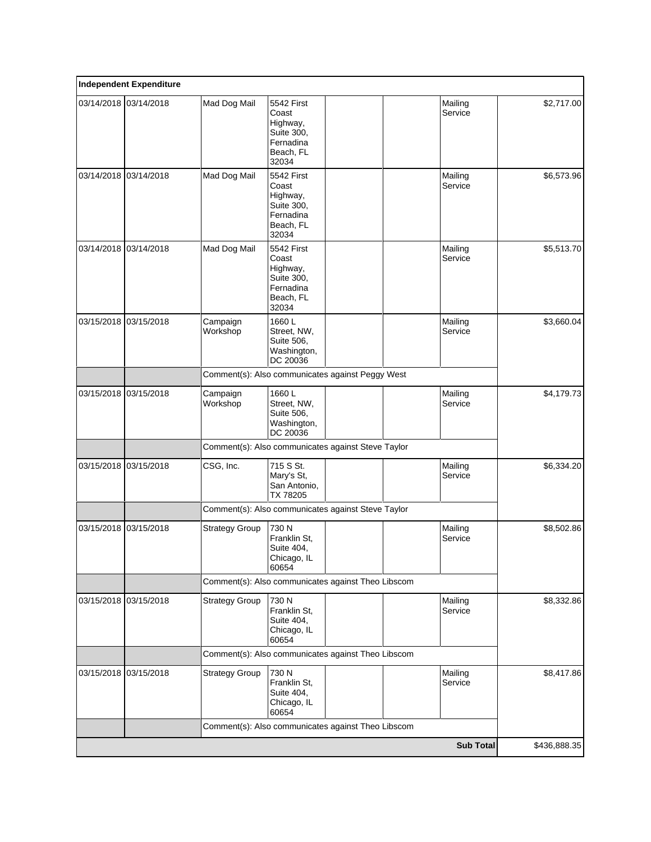|            | <b>Independent Expenditure</b> |                                                    |                                                                                  |  |                    |              |
|------------|--------------------------------|----------------------------------------------------|----------------------------------------------------------------------------------|--|--------------------|--------------|
|            | 03/14/2018 03/14/2018          | Mad Dog Mail                                       | 5542 First<br>Coast<br>Highway,<br>Suite 300,<br>Fernadina<br>Beach, FL<br>32034 |  | Mailing<br>Service | \$2,717.00   |
|            | 03/14/2018 03/14/2018          | Mad Dog Mail                                       | 5542 First<br>Coast<br>Highway,<br>Suite 300,<br>Fernadina<br>Beach, FL<br>32034 |  | Mailing<br>Service | \$6,573.96   |
| 03/14/2018 | 03/14/2018                     | Mad Dog Mail                                       | 5542 First<br>Coast<br>Highway,<br>Suite 300,<br>Fernadina<br>Beach, FL<br>32034 |  | Mailing<br>Service | \$5,513.70   |
| 03/15/2018 | 03/15/2018                     | Campaign<br>Workshop                               | 1660L<br>Street, NW,<br>Suite 506,<br>Washington,<br>DC 20036                    |  | Mailing<br>Service | \$3,660.04   |
|            |                                | Comment(s): Also communicates against Peggy West   |                                                                                  |  |                    |              |
| 03/15/2018 | 03/15/2018                     | Campaign<br>Workshop                               | 1660L<br>Street, NW,<br>Suite 506,<br>Washington,<br>DC 20036                    |  | Mailing<br>Service | \$4,179.73   |
|            |                                | Comment(s): Also communicates against Steve Taylor |                                                                                  |  |                    |              |
|            | 03/15/2018 03/15/2018          | CSG, Inc.                                          | 715 S St.<br>Mary's St,<br>San Antonio,<br>TX 78205                              |  | Mailing<br>Service | \$6,334.20   |
|            |                                | Comment(s): Also communicates against Steve Taylor |                                                                                  |  |                    |              |
| 03/15/2018 | 03/15/2018                     | <b>Strategy Group</b>                              | 730 N<br>Franklin St,<br>Suite 404,<br>Chicago, IL<br>60654                      |  | Mailing<br>Service | \$8,502.86   |
|            |                                | Comment(s): Also communicates against Theo Libscom |                                                                                  |  |                    |              |
|            | 03/15/2018 03/15/2018          | <b>Strategy Group</b>                              | 730 N<br>Franklin St.<br>Suite 404,<br>Chicago, IL<br>60654                      |  | Mailing<br>Service | \$8,332.86   |
|            |                                | Comment(s): Also communicates against Theo Libscom |                                                                                  |  |                    |              |
|            | 03/15/2018 03/15/2018          | <b>Strategy Group</b>                              | 730 N<br>Franklin St,<br>Suite 404,<br>Chicago, IL<br>60654                      |  | Mailing<br>Service | \$8,417.86   |
|            |                                | Comment(s): Also communicates against Theo Libscom |                                                                                  |  |                    |              |
|            |                                |                                                    |                                                                                  |  | <b>Sub Total</b>   | \$436,888.35 |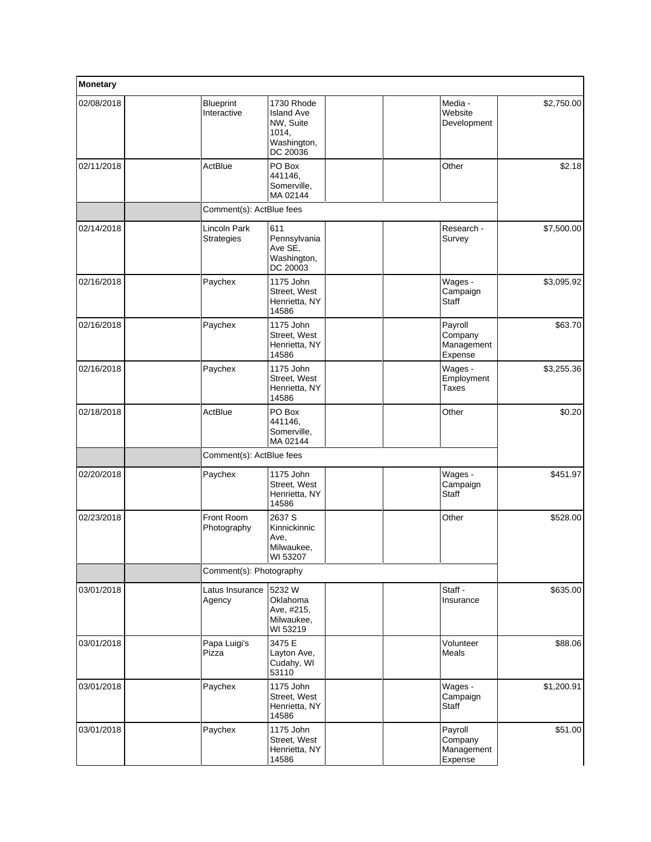| Monetary   |                                   |                                                                                  |                                             |            |
|------------|-----------------------------------|----------------------------------------------------------------------------------|---------------------------------------------|------------|
| 02/08/2018 | Blueprint<br>Interactive          | 1730 Rhode<br><b>Island Ave</b><br>NW, Suite<br>1014,<br>Washington,<br>DC 20036 | Media -<br>Website<br>Development           | \$2,750.00 |
| 02/11/2018 | ActBlue                           | PO Box<br>441146,<br>Somerville,<br>MA 02144                                     | Other                                       | \$2.18     |
|            | Comment(s): ActBlue fees          |                                                                                  |                                             |            |
| 02/14/2018 | Lincoln Park<br><b>Strategies</b> | 611<br>Pennsylvania<br>Ave SE,<br>Washington,<br>DC 20003                        | Research -<br>Survey                        | \$7,500.00 |
| 02/16/2018 | Paychex                           | 1175 John<br>Street, West<br>Henrietta, NY<br>14586                              | Wages -<br>Campaign<br><b>Staff</b>         | \$3,095.92 |
| 02/16/2018 | Paychex                           | 1175 John<br>Street, West<br>Henrietta, NY<br>14586                              | Payroll<br>Company<br>Management<br>Expense | \$63.70    |
| 02/16/2018 | Paychex                           | 1175 John<br>Street, West<br>Henrietta, NY<br>14586                              | Wages -<br>Employment<br><b>Taxes</b>       | \$3,255.36 |
| 02/18/2018 | ActBlue                           | PO Box<br>441146.<br>Somerville,<br>MA 02144                                     | Other                                       | \$0.20     |
|            | Comment(s): ActBlue fees          |                                                                                  |                                             |            |
| 02/20/2018 | Paychex                           | 1175 John<br>Street, West<br>Henrietta, NY<br>14586                              | Wages -<br>Campaign<br>Staff                | \$451.97   |
| 02/23/2018 | Front Room<br>Photography         | 2637 S<br>Kinnickinnic<br>Ave,<br>Milwaukee,<br>WI 53207                         | Other                                       | \$528.00   |
|            | Comment(s): Photography           |                                                                                  |                                             |            |
| 03/01/2018 | Latus Insurance<br>Agency         | 5232W<br>Oklahoma<br>Ave, #215,<br>Milwaukee,<br>WI 53219                        | Staff -<br>Insurance                        | \$635.00   |
| 03/01/2018 | Papa Luigi's<br>Pizza             | 3475 E<br>Layton Ave,<br>Cudahy, WI<br>53110                                     | Volunteer<br>Meals                          | \$88.06    |
| 03/01/2018 | Paychex                           | 1175 John<br>Street, West<br>Henrietta, NY<br>14586                              | Wages -<br>Campaign<br>Staff                | \$1,200.91 |
| 03/01/2018 | Paychex                           | 1175 John<br>Street, West<br>Henrietta, NY<br>14586                              | Payroll<br>Company<br>Management<br>Expense | \$51.00    |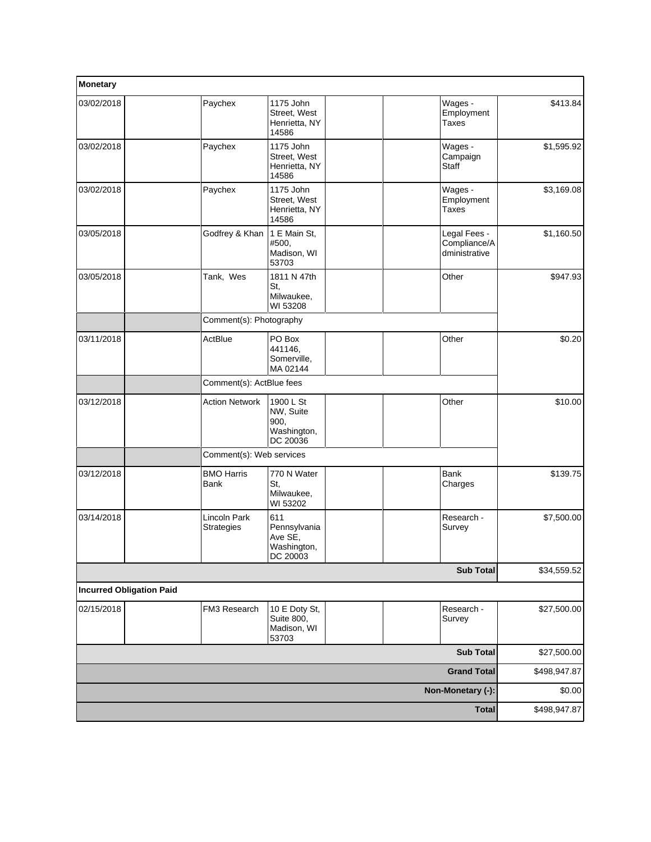| Monetary                        |                                   |                                                           |                                               |              |
|---------------------------------|-----------------------------------|-----------------------------------------------------------|-----------------------------------------------|--------------|
| 03/02/2018                      | Paychex                           | 1175 John<br>Street, West<br>Henrietta, NY<br>14586       | Wages -<br>Employment<br><b>Taxes</b>         | \$413.84     |
| 03/02/2018                      | Paychex                           | 1175 John<br>Street, West<br>Henrietta, NY<br>14586       | Wages -<br>Campaign<br>Staff                  | \$1,595.92   |
| 03/02/2018                      | Paychex                           | 1175 John<br>Street, West<br>Henrietta, NY<br>14586       | Wages -<br>Employment<br><b>Taxes</b>         | \$3,169.08   |
| 03/05/2018                      | Godfrey & Khan                    | 1 E Main St,<br>#500,<br>Madison, WI<br>53703             | Legal Fees -<br>Compliance/A<br>dministrative | \$1,160.50   |
| 03/05/2018                      | Tank, Wes                         | 1811 N 47th<br>St,<br>Milwaukee,<br>WI 53208              | Other                                         | \$947.93     |
|                                 | Comment(s): Photography           |                                                           |                                               |              |
| 03/11/2018                      | ActBlue                           | PO Box<br>441146,<br>Somerville,<br>MA 02144              | Other                                         | \$0.20       |
|                                 | Comment(s): ActBlue fees          |                                                           |                                               |              |
| 03/12/2018                      | <b>Action Network</b>             | 1900 L St<br>NW, Suite<br>900,<br>Washington,<br>DC 20036 | Other                                         | \$10.00      |
|                                 | Comment(s): Web services          |                                                           |                                               |              |
| 03/12/2018                      | <b>BMO Harris</b><br>Bank         | 770 N Water<br>St,<br>Milwaukee,<br>WI 53202              | Bank<br>Charges                               | \$139.75     |
| 03/14/2018                      | <b>Lincoln Park</b><br>Strategies | 611<br>Pennsylvania<br>Ave SE,<br>Washington,<br>DC 20003 | Research -<br>Survey                          | \$7,500.00   |
|                                 |                                   |                                                           | <b>Sub Total</b>                              | \$34,559.52  |
| <b>Incurred Obligation Paid</b> |                                   |                                                           |                                               |              |
| 02/15/2018                      | FM3 Research                      | 10 E Doty St,<br>Suite 800,<br>Madison, WI<br>53703       | Research -<br>Survey                          | \$27,500.00  |
|                                 |                                   |                                                           | <b>Sub Total</b>                              | \$27,500.00  |
|                                 |                                   |                                                           | <b>Grand Total</b>                            | \$498,947.87 |
|                                 |                                   |                                                           | Non-Monetary (-):                             | \$0.00       |
|                                 |                                   |                                                           | <b>Total</b>                                  | \$498,947.87 |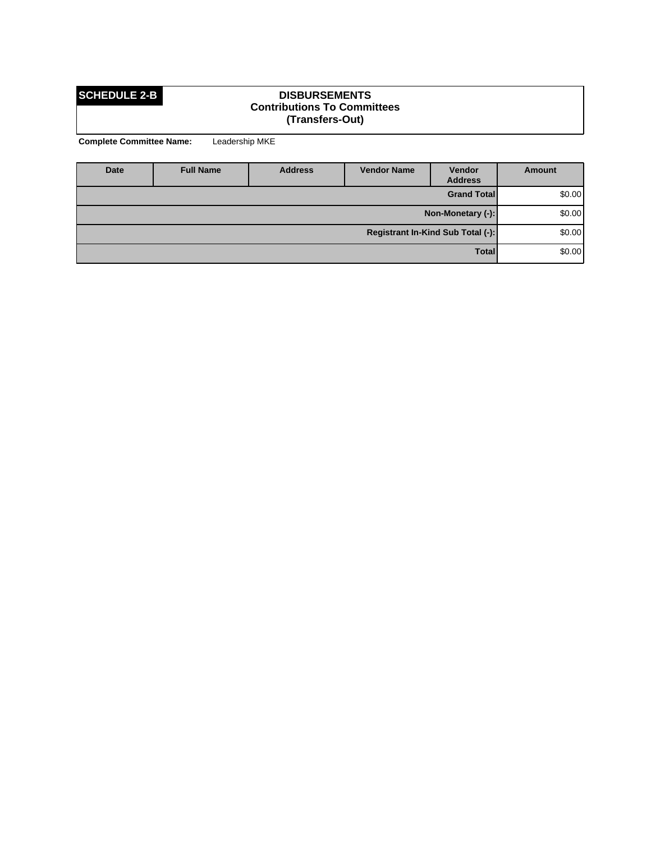### **SCHEDULE 2-B DISBURSEMENTS Contributions To Committees (Transfers-Out)**

| Date                              | <b>Full Name</b> | <b>Address</b> | <b>Vendor Name</b> | <b>Vendor</b><br><b>Address</b> | Amount  |
|-----------------------------------|------------------|----------------|--------------------|---------------------------------|---------|
| <b>Grand Total</b>                |                  |                |                    |                                 | \$0.00] |
| Non-Monetary (-):                 |                  |                |                    |                                 | \$0.00] |
| Registrant In-Kind Sub Total (-): |                  |                |                    |                                 | \$0.00] |
|                                   |                  |                |                    | <b>Total</b>                    | \$0.00] |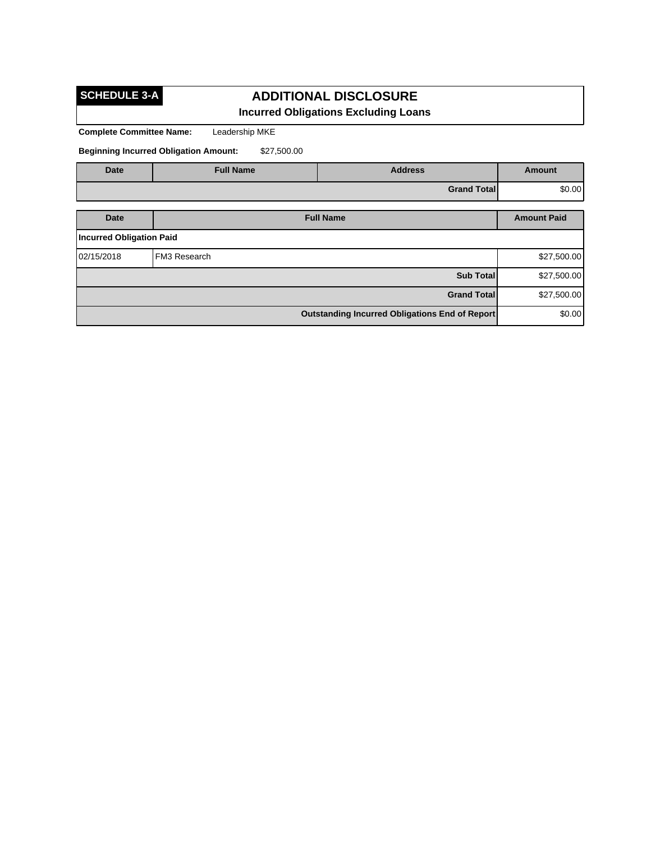**SCHEDULE 3-A**

## **ADDITIONAL DISCLOSURE Incurred Obligations Excluding Loans**

**Complete Committee Name:** Leadership MKE

**Beginning Incurred Obligation Amount:** \$27,500.00

| <b>Date</b>                     | <b>Full Name</b> | <b>Address</b>     | <b>Amount</b>      |  |  |  |
|---------------------------------|------------------|--------------------|--------------------|--|--|--|
|                                 | \$0.00           |                    |                    |  |  |  |
| <b>Full Name</b><br><b>Date</b> |                  |                    | <b>Amount Paid</b> |  |  |  |
| <b>Incurred Obligation Paid</b> |                  |                    |                    |  |  |  |
| 02/15/2018                      | FM3 Research     |                    | \$27,500.00        |  |  |  |
|                                 |                  | <b>Sub Total</b>   | \$27,500.00        |  |  |  |
|                                 |                  | <b>Grand Total</b> | \$27,500.00        |  |  |  |
|                                 | \$0.00           |                    |                    |  |  |  |